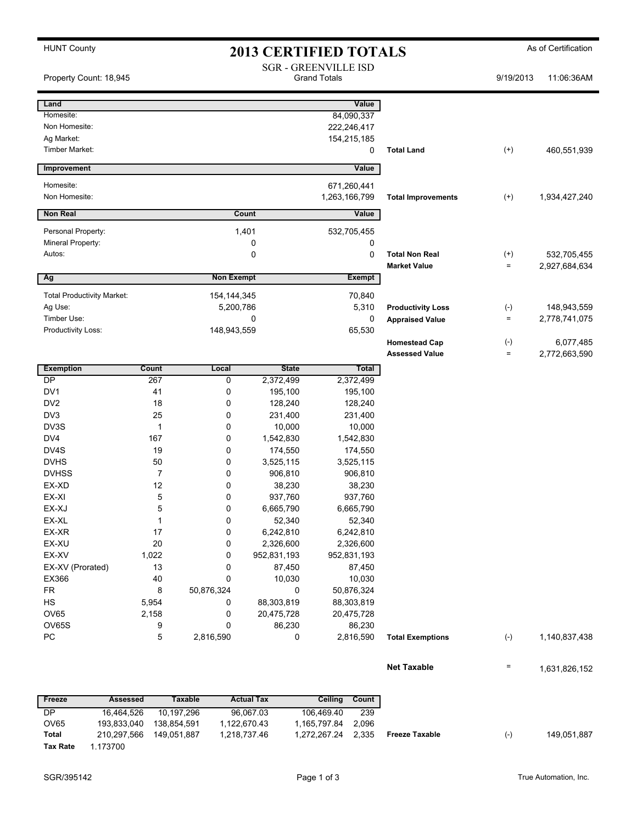| <b>HUNT County</b>                |                |                         | <b>2013 CERTIFIED TOTALS</b> |                                                    |                           |              | As of Certification |
|-----------------------------------|----------------|-------------------------|------------------------------|----------------------------------------------------|---------------------------|--------------|---------------------|
| Property Count: 18,945            |                |                         |                              | <b>SGR - GREENVILLE ISD</b><br><b>Grand Totals</b> |                           | 9/19/2013    | 11:06:36AM          |
| Land                              |                |                         |                              | Value                                              |                           |              |                     |
| Homesite:                         |                |                         |                              | 84,090,337                                         |                           |              |                     |
| Non Homesite:                     |                |                         |                              | 222,246,417                                        |                           |              |                     |
| Ag Market:                        |                |                         |                              | 154,215,185                                        |                           |              |                     |
| Timber Market:                    |                |                         |                              | 0                                                  | <b>Total Land</b>         | $^{(+)}$     | 460,551,939         |
| Improvement                       |                |                         |                              | Value                                              |                           |              |                     |
| Homesite:                         |                |                         |                              | 671,260,441                                        |                           |              |                     |
| Non Homesite:                     |                |                         |                              | 1,263,166,799                                      | <b>Total Improvements</b> | $^{(+)}$     | 1,934,427,240       |
| <b>Non Real</b>                   |                |                         | Count                        | Value                                              |                           |              |                     |
| Personal Property:                |                |                         | 1,401                        | 532,705,455                                        |                           |              |                     |
| Mineral Property:                 |                |                         | 0                            | 0                                                  |                           |              |                     |
| Autos:                            |                |                         | $\Omega$                     | $\mathbf 0$                                        | <b>Total Non Real</b>     | $^{(+)}$     | 532,705,455         |
|                                   |                |                         |                              |                                                    | <b>Market Value</b>       | $=$          | 2,927,684,634       |
| Ag                                |                | <b>Non Exempt</b>       |                              | <b>Exempt</b>                                      |                           |              |                     |
| <b>Total Productivity Market:</b> |                | 154, 144, 345           |                              | 70,840                                             |                           |              |                     |
| Ag Use:                           |                | 5,200,786               |                              | 5,310                                              | <b>Productivity Loss</b>  | $(\text{-})$ | 148,943,559         |
| Timber Use:                       |                |                         | 0                            | 0                                                  | <b>Appraised Value</b>    | $\equiv$     | 2,778,741,075       |
| Productivity Loss:                |                | 148,943,559             |                              | 65,530                                             |                           |              |                     |
|                                   |                |                         |                              |                                                    | <b>Homestead Cap</b>      | $(\text{-})$ | 6,077,485           |
|                                   |                |                         |                              |                                                    | <b>Assessed Value</b>     | $\equiv$     | 2,772,663,590       |
| <b>Exemption</b>                  | <b>Count</b>   | Local                   | <b>State</b>                 | <b>Total</b>                                       |                           |              |                     |
| DP                                | 267            | 0                       | 2,372,499                    | 2,372,499                                          |                           |              |                     |
| DV <sub>1</sub>                   | 41             | 0                       | 195,100                      | 195,100                                            |                           |              |                     |
| DV <sub>2</sub>                   | 18             | 0                       | 128,240                      | 128,240                                            |                           |              |                     |
| DV3                               | 25             | 0                       | 231,400                      | 231,400                                            |                           |              |                     |
| DV3S                              | $\mathbf{1}$   | 0                       | 10,000                       | 10,000                                             |                           |              |                     |
| DV <sub>4</sub>                   | 167            | 0                       | 1,542,830                    | 1,542,830                                          |                           |              |                     |
| DV4S                              | 19             | 0                       | 174,550                      | 174,550                                            |                           |              |                     |
| <b>DVHS</b>                       | 50             | 0                       | 3,525,115                    | 3,525,115                                          |                           |              |                     |
| <b>DVHSS</b>                      | $\overline{7}$ | 0                       | 906,810                      | 906,810                                            |                           |              |                     |
| EX-XD                             | 12<br>5        | $\mathbf 0$<br>$\Omega$ | 38,230                       | 38,230                                             |                           |              |                     |
| EX-XI<br>EX-XJ                    | 5              | 0                       | 937,760<br>6,665,790         | 937,760<br>6,665,790                               |                           |              |                     |
| EX-XL                             | $\mathbf{1}$   | 0                       | 52,340                       | 52,340                                             |                           |              |                     |
| EX-XR                             | 17             | 0                       | 6,242,810                    | 6,242,810                                          |                           |              |                     |
| EX-XU                             | $20\,$         | 0                       | 2,326,600                    | 2,326,600                                          |                           |              |                     |
| EX-XV                             | 1,022          | 0                       | 952,831,193                  | 952,831,193                                        |                           |              |                     |
| EX-XV (Prorated)                  | 13             | 0                       | 87,450                       | 87,450                                             |                           |              |                     |
| EX366                             | 40             | 0                       | 10,030                       | 10,030                                             |                           |              |                     |
| FR                                | 8              | 50,876,324              | 0                            | 50,876,324                                         |                           |              |                     |
| HS                                | 5,954          | 0                       | 88,303,819                   | 88,303,819                                         |                           |              |                     |
| OV65                              | 2,158          | 0                       | 20,475,728                   | 20,475,728                                         |                           |              |                     |
| OV65S                             | 9              | 0                       | 86,230                       | 86,230                                             |                           |              |                     |
| PC                                | 5              | 2,816,590               | 0                            | 2,816,590                                          | <b>Total Exemptions</b>   | $(\text{-})$ | 1,140,837,438       |
|                                   |                |                         |                              |                                                    |                           |              |                     |

## **Net Taxable**  $= 1,631,826,152$

| Freeze          | Assessed    | Taxable     | <b>Actual Tax</b> | Ceiling      | Count |
|-----------------|-------------|-------------|-------------------|--------------|-------|
| DP              | 16.464.526  | 10.197.296  | 96.067.03         | 106.469.40   | 239   |
| OV65            | 193.833.040 | 138.854.591 | 1.122.670.43      | 1.165.797.84 | 2.096 |
| Total           | 210.297.566 | 149.051.887 | 1.218.737.46      | 1.272.267.24 | 2.335 |
| <b>Tax Rate</b> | 1.173700    |             |                   |              |       |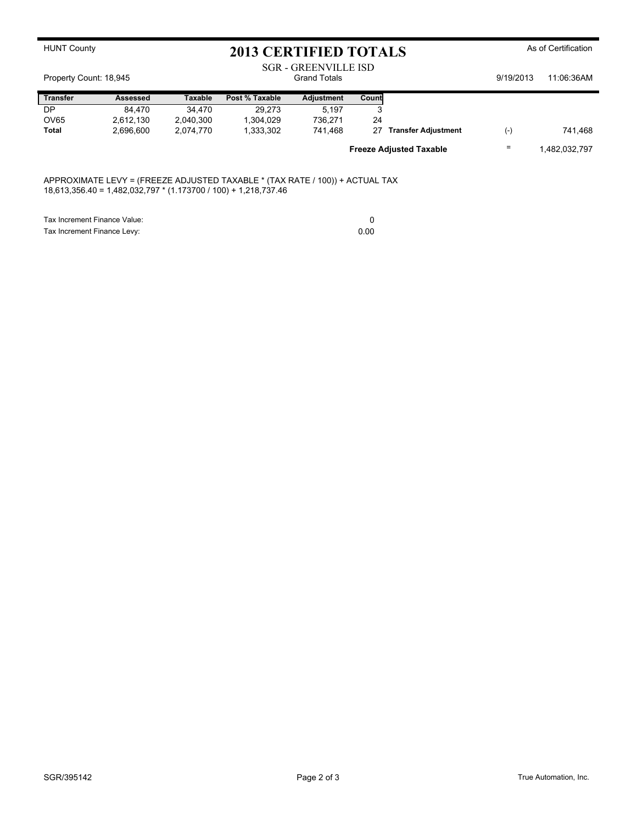| <b>HUNT County</b>     | <b>2013 CERTIFIED TOTALS</b> |                |                                                                              |                                                    | As of Certification |                                |           |               |
|------------------------|------------------------------|----------------|------------------------------------------------------------------------------|----------------------------------------------------|---------------------|--------------------------------|-----------|---------------|
| Property Count: 18,945 |                              |                |                                                                              | <b>SGR - GREENVILLE ISD</b><br><b>Grand Totals</b> |                     |                                | 9/19/2013 | 11:06:36AM    |
| <b>Transfer</b>        | Assessed                     | <b>Taxable</b> | Post % Taxable                                                               | <b>Adjustment</b>                                  | Count               |                                |           |               |
| DP                     | 84.470                       | 34.470         | 29.273                                                                       | 5.197                                              |                     |                                |           |               |
| OV65                   | 2.612.130                    | 2.040.300      | 1.304.029                                                                    | 736.271                                            | 24                  |                                |           |               |
| Total                  | 2.696.600                    | 2.074.770      | 1.333.302                                                                    | 741.468                                            |                     | 27 Transfer Adjustment         | (-)       | 741,468       |
|                        |                              |                |                                                                              |                                                    |                     | <b>Freeze Adjusted Taxable</b> |           | 1,482,032,797 |
|                        |                              |                | APPROXIMATE LEVY = (FREEZE ADJUSTED TAXABLE * (TAX RATE / 100)) + ACTUAL TAX |                                                    |                     |                                |           |               |

18,613,356.40 = 1,482,032,797 \* (1.173700 / 100) + 1,218,737.46

Tax Increment Finance Value: 0<br>
Tax Increment Finance Levy: 0<br>
0.00 Tax Increment Finance Levy: